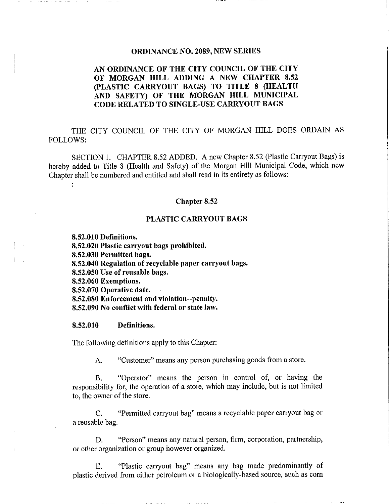## ORDINANCE NO. 2089, NEW SERIES

# AN ORDINANCE OF THE CITY COUNCIL OF THE CITY OF MORGAN HILL ADDING A NEW CHAPTER 8.52 (PLASTIC CARRYOUT BAGS) TO TITLE 8 (HEALTH AND SAFETY) OF THE MORGAN HILL MUNICIPAL CODE RELATED TO SINGLE-USE CARRYOUT BAGS

THE CITY COUNCIL OF THE CITY OF MORGAN HILL DOES ORDAIN AS FOLLOWS

SECTION 1. CHAPTER 8.52 ADDED. A new Chapter 8.52 (Plastic Carryout Bags) is hereby added to Title 8 (Health and Safety) of the Morgan Hill Municipal Code, which new Chapter shall be numbered and entitled and shall read in its entirety as follows

## Chapter 8.52

## PLASTIC CARRYOUT BAGS

8.52.010 Definitions.<br>8.52.020 Plastic carr PLASTIC CARRY<br>8.52.010 Definitions.<br>8.52.020 Plastic carryout bags prohibited.<br>8.52.030 Permitted bags. 1<br>8.52.010 Definitions.<br>8.52.020 Plastic carryout<br>8.52.030 Permitted bags.<br>8.52.040 Regulation of re 8.52.010 Definitions.<br>8.52.020 Plastic carryout bags prohibited.<br>8.52.030 Permitted bags.<br>8.52.040 Regulation of recyclable paper carryout bags.<br>8.52.050 Use of reusable bags. 8.52.020 Plastic carryout bags<br>8.52.020 Plastic carryout bags<br>8.52.030 Permitted bags.<br>8.52.050 Use of reusable bags.<br>8.52.060 Exemptions. **8.52.020 Permitted b:<br>8.52.030 Permitted b:<br>8.52.040 Regulation c<br>8.52.050 Use of reusa<br>8.52.060 Exemptions.** 8.52.050 Permitted bags<br>8.52.040 Regulation of r<br>8.52.050 Use of reusable<br>8.52.060 Exemptions.<br>8.52.070 Operative date.<br>8.52.080 Enforcement al 8.52.040 Regulation of Feeyenable paper earty<br>8.52.050 Use of reusable bags.<br>8.52.060 Exemptions.<br>8.52.070 Operative date.<br>8.52.080 Enforcement and violation--penalty.<br>8.52.090 No conflict with federal or state law. 8.52.050 Ose of reusable bags.<br>8.52.060 Exemptions.<br>8.52.070 Operative date.<br>8.52.080 Enforcement and violation--penalty.<br>8.52.090 No conflict with federal or state law. 8.52.070 Operative date.<br>8.52.080 Enforcement and<br>8.52.090 No conflict with<br>8.52.010 Definitions.

 $\ddot{\phantom{a}}$ 

The following definitions apply to this Chapter

A. "Customer" means any person purchasing goods from a store.

B. "Operator" means the person in control of, or having the responsibility for, the operation of a store, which may include, but is not limited to, the owner of the store.

C. "Permitted carryout bag" means a recyclable paper carryout bag or a reusable bag

D. "Person" means any natural person, firm, corporation, partnership, or other organization or group however organized

E. "Plastic carryout bag" means any bag made predominantly of plastic derived from either petroleum or a biologically-based source, such as corn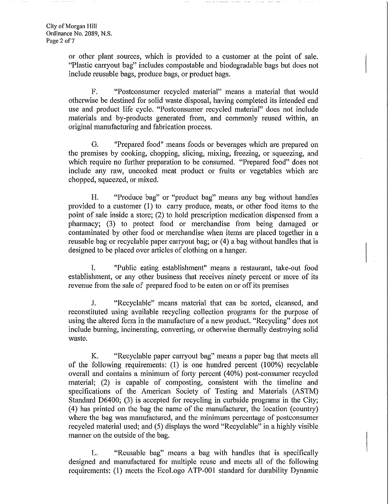or other plant sources, which is provided to a customer at the point of sale. "Plastic carryout bag" includes compostable and biodegradable bags but does not include reusable bags, produce bags, or product bags.

F. "Postconsumer recycled material" means a material that would otherwise be destined for solid waste disposal, having completed its intended end use and product life cycle. "Postconsumer recycled material" does not include materials and by-products generated from, and commonly reused within, an original manufacturing and fabrication process

G. "Prepared food" means foods or beverages which are prepared on the premises by cooking, chopping, slicing, mixing, freezing, or squeezing, and which require no further preparation to be consumed. "Prepared food" does not include any raw, uncooked meat product or fruits or vegetables which are chopped, squeezed, or mixed.

H. "Produce bag" or "product bag" means any bag without handles provided to a customer  $(1)$  to carry produce, meats, or other food items to the point of sale inside a store; (2) to hold prescription medication dispensed from a pharmacy; (3) to protect food or merchandise from being damaged or contaminated by other food or merchandise when items are placed together in a reusable bag or recyclable paper carryout bag; or (4) a bag without handles that is designed to be placed over articles of clothing on <sup>a</sup> hanger

I. "Public eating establishment" means a restaurant, take-out food establishment, or any other business that receives ninety percent or more of its revenue from the sale of prepared food to be eaten on or off its premises

J. "Recyclable" means material that can be sorted, cleansed, and reconstituted using available recycling collection programs for the purpose of using the altered form in the manufacture of a new product. "Recycling" does not include burning, incinerating, converting, or otherwise thermally destroying solid waste

K. "Recyclable paper carryout bag" means a paper bag that meets all of the following requirements:  $(1)$  is one hundred percent  $(100\%)$  recyclable overall and contains a minimum of forty percent (40%) post-consumer recycled material; (2) is capable of composting, consistent with the timeline and specifications of the American Society of Testing and Materials (ASTM) Standard D6400; (3) is accepted for recycling in curbside programs in the City; (4) has printed on the bag the name of the manufacturer, the location (country) where the bag was manufactured, and the minimum percentage of postconsumer recycled material used; and (5) displays the word "Recyclable" in a highly visible manner on the outside of the bag

L. "Reusable bag" means a bag with handles that is specifically designed and manufactured for multiple reuse and meets all of the following requirements: (1) meets the EcoLogo ATP-001 standard for durability Dynamic i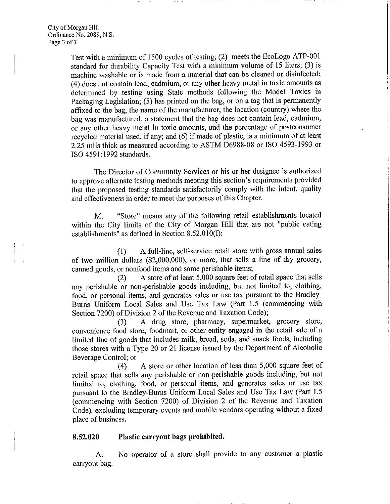Test with a minimum of 1500 cycles of testing;  $(2)$  meets the EcoLogo ATP-001 standard for durability Capacity Test with a minimum volume of 15 liters; (3) is machine washable or is made from a material that can be cleaned or disinfected (4) does not contain lead, cadmium, or any other heavy metal in toxic amounts as determined by testing using State methods following the Model Toxics in Packaging Legislation; (5) has printed on the bag, or on a tag that is permanently affixed to the bag, the name of the manufacturer, the location (country) where the bag was manufactured, a statement that the bag does not contain lead, cadmium, or any other heavy metal in toxic amounts, and the percentage of postconsumer or any other heavy mean in toxic amounts, and the percentage or percentance<br>recycled material used, if any; and (6) if made of plastic, is a minimum of at least<br>2.25 mils thick as measured according to ASTM D6988-08 or ISO 2.25 mils thick as measured according to ASTM D6988-08 or ISO 4593-1993 or ISO 4591:1992 standards.

The Director of Community Services or his or her designee is authorized to approve alternate testing methods meeting this section's requirements provided that the proposed testing standards satisfactorily comply with the intent, quality and effectiveness in order to meet the purposes of this Chapter recycled material used, it any; and (6) it made of<br>2.25 mils thick as measured according to ASTM<br>ISO 4591:1992 standards.<br>The Director of Community Services or 1<br>to approve alternate testing methods meeting this<br>that the p

M. "Store" means any of the following retail establishments located within the City limits of the City of Morgan Hill that are not "public eating establishments" as defined in Section  $8.52.010(I)$ :

(1) A full-line, self-service retail store with gross annual sales of two million dollars (\$2,000,000), or more, that sells a line of dry grocery, canned goods, or nonfood items and some perishable items;<br>(2) A store of at least 5,000 square feet of retail space that sells canned goods, or nonfood items and some perishable items;

A store of at least 5,000 square feet of retail space that sells any perishable or non-perishable goods including, but not limited to, clothing, food, or personal items, and generates sales or use tax pursuant to the Bradley-Burns Uniform Local Sales and Use Tax Law (Part 1.5 (commencing with Section 7200) of Division 2 of the Revenue and Taxation Code);<br>(3) A drug store, pharmacy, supermarket

A drug store, pharmacy, supermarket, grocery store, convenience food store, foodmart, or other entity engaged in the retail sale of a limited line of goods that includes milk, bread, soda, and snack foods, including those stores with a Type 20 or 21 license issued by the Department of Alcoholic<br>Beverage Control; or<br>(4) A store or other location of less than 5,000 square feet of<br>retail gnage that solls any perishable or non-perishable Beverage Control; or<br>(4)

retail space that sells any perishable or non-perishable goods including, but not limited to, clothing, food, or personal items, and generates sales or use tax pursuant to the Bradley-Burns Uniform Local Sales and Use Tax Law (Part 1.5) commencing with Section 7200 of Division 2 of the Revenue and Taxation Code), excluding temporary events and mobile vendors operating without a fixed place of business Sole), excluding temporary events and mobile vertical Code), excluding temporary events and mobile vertical place of business.<br> **8.52.020** Plastic carryout bags prohibited.

l

A. No operator of a store shall provide to any customer a plastic carryout bag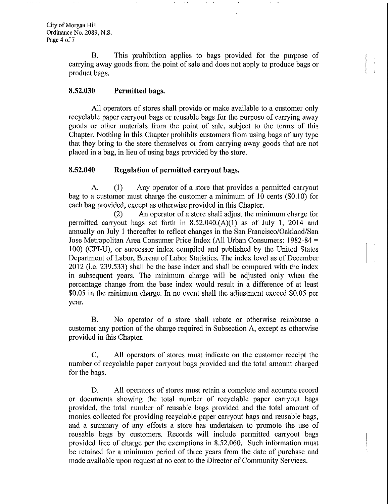B. This prohibition applies to bags provided for the purpose of carrying away goods from the point of sale and does not apply to produce bags or product bags ERECTE 1118 promotion<br>carrying away goods from the product bags.<br>8.52.030 Permitted bags.

All operators of stores shall provide or make available to a customer only recyclable paper carryout bags or reusable bags for the purpose of carrying away goods or other materials from the point of sale, subject to the terms of this Chapter. Nothing in this Chapter prohibits customers from using bags of any type that they bring to the store themselves or from carrying away goods that are not placed in a bag, in lieu of using bags provided by the store. Enapter. Nothing in this Chapter promotis customers it<br>that they bring to the store themselves or from carrying<br>placed in a bag, in lieu of using bags provided by the sto<br>8.52.040 Regulation of permitted carryout bags.

A. (1) Any operator of a store that provides a permitted carryout 8.52.040 Regulation of permitted carryout bags.<br>A. (1) Any operator of a store that provides a permitted carryout bag to a customer must charge the customer a minimum of 10 cents (\$0.10) for each bag provided, except as otherwise provided in this Chapter.<br>(2) An operator of a store shall adjust the min

(2) An operator of a store shall adjust the minimum charge for permitted carryout bags set forth in  $8.52.040 \cdot (A)(1)$  as of July 1, 2014 and **8.52.040** Regulation of permitted carryout bags.<br>
A. (1) Any operator of a store that provides a permitted carryout<br>
bag to a customer must charge the customer a minimum of 10 cents (\$0.10) for<br>
each bag provided, except annually on July 1 thereafter to reflect changes in the San Francisco/Oakland/San Jose Metropolitan Area Consumer Price Index (All Urban Consumers: 1982-84 100) (CPI-U), or successor index compiled and published by the United States Department of Labor, Bureau of Labor Statistics. The index level as of December 2012 (i.e. 239.533) shall be the base index and shall be compared with the index annually on July 1 thereafter to reflect changes in the San Francisco/Oakiana/San<br>Jose Metropolitan Area Consumer Price Index (All Urban Consumers: 1982-84 =<br>100) (CPI-U), or successor index compiled and published by the U in subsequent years. The minimum charge will be adjusted only when the percentage change from the base index would result in a difference of at least in subsequent years. The minimum charge will be adjusted only when the<br>percentage change from the base index would result in a difference of at least<br>\$0.05 in the minimum charge. In no event shall the adjustment exceed \$0. year

B. No operator of a store shall rebate or otherwise reimburse a customer any portion of the charge required in Subsection A, except as otherwise provided in this Chapter

C. All operators of stores must indicate on the customer receipt the number of recyclable paper carryout bags provided and the total amount charged for the bags

D. All operators of stores must retain a complete and accurate record or documents showing the total number of recyclable paper carryout bags provided, the total number of reusable bags provided and the total amount of monies collected for providing recyclable paper carryout bags and reusable bags and <sup>a</sup> summary of any efforts <sup>a</sup> store has undertaken to promote the use of reusable bags by customers. Records will include permitted carryout bags provided free of charge per the exemptions in 8.52.060. Such information must provided, the total number of reusable bags provided and the total amount of monies collected for providing recyclable paper carryout bags and reusable bags, and a summary of any efforts a store has undertaken to promote t made available upon request at no cost to the Director of Community Services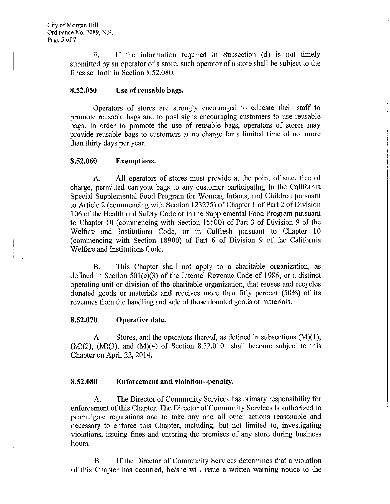E. If the information required in Subsection (d) is not timely submitted by an operator of a store, such operator of a store shall be subject to the F<sub>7</sub> E. If the information<br>submitted by an operator of a stor-<br>fines set forth in Section 8.52.080. E. If the information is<br>submitted by an operator of a store, s<br>fines set forth in Section 8.52.080.<br>8.52.050 Use of reusable bags.

Operators of stores are strongly encouraged to educate their staff to promote reusable bags and to post signs encouraging customers to use reusable bags. In order to promote the use of reusable bags, operators of stores may provide reusable bags to customers at no charge for <sup>a</sup> limited time of not more than thirty days per year bags. In order to promote<br>provide reusable bags to cu<br>than thirty days per year.<br>8.52.060 Exemptions.

A. All operators of stores must provide at the point of sale, free of charge, permitted carryout bags to any customer participating in the California Special Supplemental Food Program for Women, Infants, and Children pursuant to Article 2 commencing with Section 123275 of Chapter <sup>1</sup> of Part 2 of Division 106 of the Health and Safety Code or in the Supplemental Food Program pursuant to Chapter <sup>10</sup> commencing with Section 15500 of Part <sup>3</sup> of Division <sup>9</sup> of the Welfare and Institutions Code, or in Calfresh pursuant to Chapter 10 Welfare and Institutions Code

(commencing with Section 18900) of Part 6 of Division 9 of the California<br>
Welfare and Institutions Code.<br>
B. This Chapter shall not apply to a charitable organization, as<br>
defined in Section 501(c)(3) of the Internal Reve B. This Chapter shall not apply to a charitable organization, as defined in Section  $501(c)(3)$  of the Internal Revenue Code of 1986, or a distinct operating unit or division of the charitable organization, that reuses and recycles donated goods or materials and receives more than fifty percent (50%) of its<br>revenues from the handling and sale of those donated goods or materials.<br>8.52.070 Operative date. revenues from the handling and sale of those donated goods or materials

8.52.070 Operative date.<br>
A. Stores, and the operators thereof, as defined in subsections (M)(1),<br>
(M)(2), (M)(3), and (M)(4) of Section 8.52.010 shall become subject to this<br>
Chapter on April 22, 2014. Chapter on April 22, 2014.

# 8.52.080 Enforcement and violation--penalty.

A. The Director of Community Services has primary responsibility for enforcement of this Chapter. The Director of Community Services is authorized to promulgate regulations and to take any and all other actions reasonable and necessary to enforce this Chapter, including, but not limited to, investigating violations, issuing fines and entering the premises of any store during business hours

B. If the Director of Community Services determines that a violation of this Chapter has occurred, he/she will issue a written warning notice to the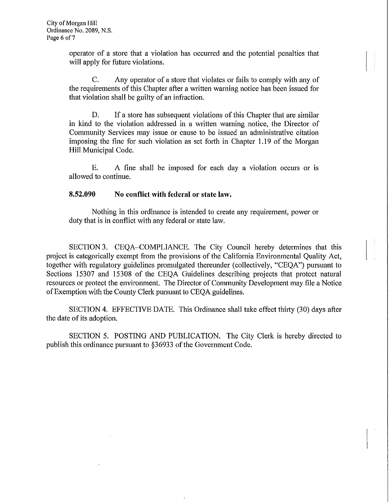operator of <sup>a</sup> store that <sup>a</sup> violation has occurred and the potential penalties that will apply for future violations.

C. Any operator of a store that violates or fails to comply with any of the requirements of this Chapter after <sup>a</sup> written warning notice has been issued for that violation shall be guilty of an infraction

D. If a store has subsequent violations of this Chapter that are similar in kind to the violation addressed in a written warning notice, the Director of Community Services may issue or cause to be issued an administrative citation imposing the fine for such violation as set forth in Chapter 1.19 of the Morgan Hill Municipal Code Hill Municipal Code

E. A fine shall be imposed for each day a violation occurs or is<br>allowed to continue.<br>8.52.090 No conflict with federal or state law. allowed to continue

Nothing in this ordinance is intended to create any requirement, power or duty that is in conflict with any federal or state law.

SECTION 3. CEQA-COMPLIANCE. The City Council hereby determines that this project is categorically exempt from the provisions of the California Environmental Quality Act together with regulatory guidelines promulgated thereunder (collectively, "CEQA") pursuant to Sections 15307 and 15308 of the CEQA Guidelines describing projects that protect natural resources or protect the environment. The Director of Community Development may file a Notice of Exemption with the County Clerk pursuant to CEQA guidelines.

SECTION 4. EFFECTIVE DATE. This Ordinance shall take effect thirty (30) days after the date of its adoption

SECTION 5. POSTING AND PUBLICATION. The City Clerk is hereby directed to publish this ordinance pursuant to 36933 of the Government Code